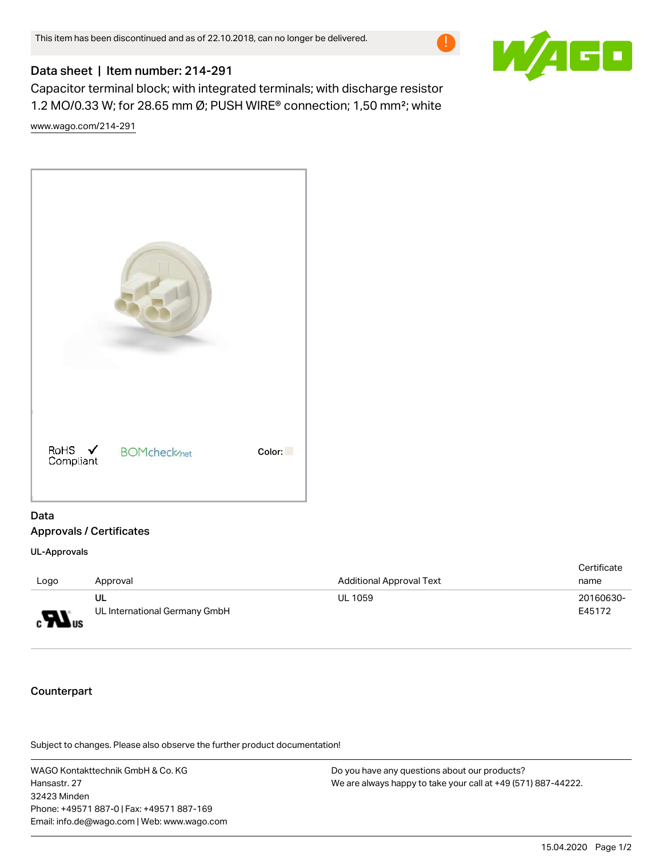

## Data sheet | Item number: 214-291

Capacitor terminal block; with integrated terminals; with discharge resistor 1.2 MO/0.33 W; for 28.65 mm Ø; PUSH WIRE® connection; 1,50 mm²; white [www.wago.com/214-291](http://www.wago.com/214-291)



## Data Approvals / Certificates

UL-Approvals

| Logo                         | Approval                            | <b>Additional Approval Text</b> | Certificate<br>name |
|------------------------------|-------------------------------------|---------------------------------|---------------------|
| $\boldsymbol{H}_{\text{us}}$ | UL<br>UL International Germany GmbH | <b>UL 1059</b>                  | 20160630-<br>E45172 |

## Counterpart

.<br>Subject to changes. Please also observe the further product documentation!

WAGO Kontakttechnik GmbH & Co. KG Hansastr. 27 32423 Minden Phone: +49571 887-0 | Fax: +49571 887-169 Email: info.de@wago.com | Web: www.wago.com

Do you have any questions about our products? We are always happy to take your call at +49 (571) 887-44222.